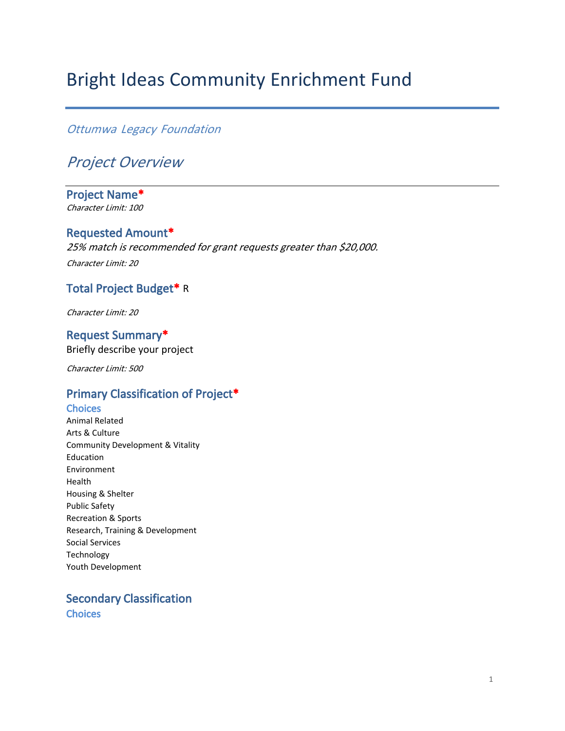# Bright Ideas Community Enrichment Fund

## *Ottumwa Legacy Foundation*

## *Project Overview*

**Project Name\*** *Character Limit: 100*

#### **Requested Amount\***

*25% match is recommended for grant requests greater than \$20,000. Character Limit: 20*

### **Total Project Budget\*** R

*Character Limit: 20*

**Request Summary\*** Briefly describe your project

*Character Limit: 500*

## **Primary Classification of Project\***

**Choices** Animal Related Arts & Culture Community Development & Vitality Education Environment Health Housing & Shelter Public Safety Recreation & Sports Research, Training & Development Social Services Technology Youth Development

**Secondary Classification Choices**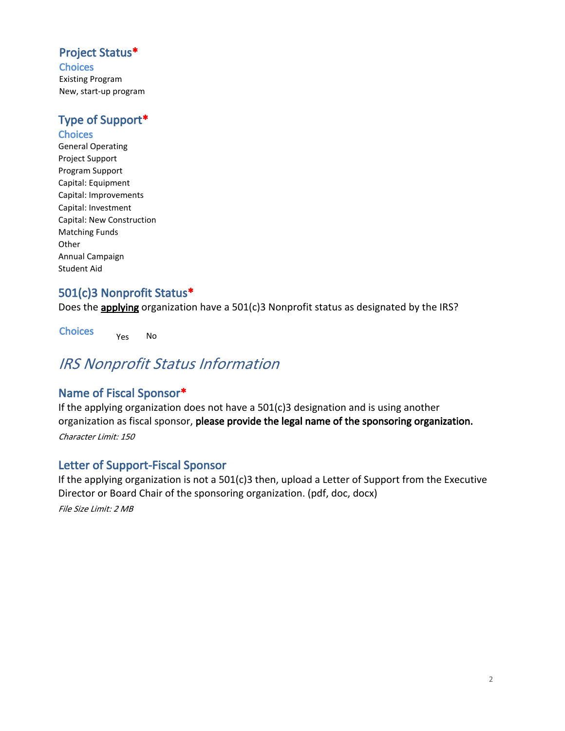## **Project Status\***

**Choices** Existing Program New, start-up program

## **Type of Support\***

**Choices** General Operating Project Support Program Support Capital: Equipment Capital: Improvements Capital: Investment Capital: New Construction Matching Funds **Other** Annual Campaign Student Aid

## **501(c)3 Nonprofit Status\***

Does the **applying** organization have a 501(c)3 Nonprofit status as designated by the IRS?

**Choices** Yes No

## *IRS Nonprofit Status Information*

## **Name of Fiscal Sponsor\***

If the applying organization does not have a 501(c)3 designation and is using another organization as fiscal sponsor, **please provide the legal name of the sponsoring organization.** 

*Character Limit: 150*

## **Letter of Support-Fiscal Sponsor**

If the applying organization is not a 501(c)3 then, upload a Letter of Support from the Executive Director or Board Chair of the sponsoring organization. (pdf, doc, docx)

*File Size Limit: 2 MB*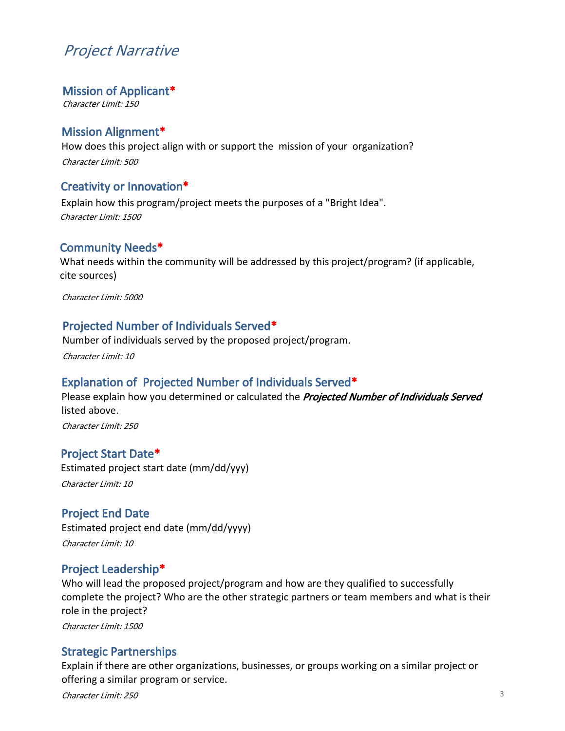## *Project Narrative*

#### **Mission of Applicant\***

*Character Limit: 150*

### **Mission Alignment\***

How does this project align with or support the mission of your organization? *Character Limit: 500*

### **Creativity or Innovation\***

Explain how this program/project meets the purposes of a "Bright Idea". *Character Limit: 1500*

### **Community Needs\***

What needs within the community will be addressed by this project/program? (if applicable, cite sources)

*Character Limit: 5000*

### **Projected Number of Individuals Served\***

Number of individuals served by the proposed project/program.

*Character Limit: 10*

### **Explanation of Projected Number of Individuals Served\***

Please explain how you determined or calculated the *Projected Number of Individuals Served*  listed above.

*Character Limit: 250*

#### **Project Start Date\***

Estimated project start date (mm/dd/yyy) *Character Limit: 10*

### **Project End Date**

Estimated project end date (mm/dd/yyyy) *Character Limit: 10*

### **Project Leadership\***

Who will lead the proposed project/program and how are they qualified to successfully complete the project? Who are the other strategic partners or team members and what is their role in the project?

*Character Limit: 1500*

### **Strategic Partnerships**

Explain if there are other organizations, businesses, or groups working on a similar project or offering a similar program or service.

*Character Limit: 250*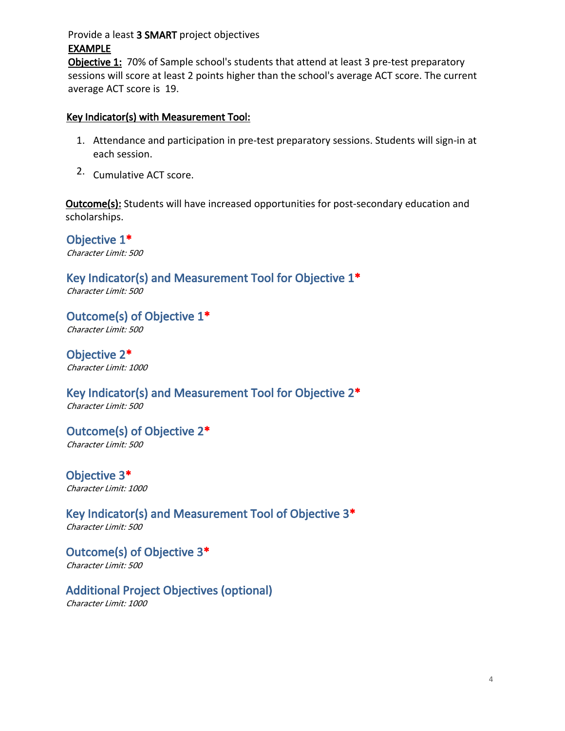### Provide a least **3 SMART** project objectives **EXAMPLE**

**Objective 1:** 70% of Sample school's students that attend at least 3 pre-test preparatory sessions will score at least 2 points higher than the school's average ACT score. The current average ACT score is 19.

### **Key Indicator(s) with Measurement Tool:**

- 1. Attendance and participation in pre-test preparatory sessions. Students will sign-in at each session.
- 2. Cumulative ACT score.

**Outcome(s):** Students will have increased opportunities for post-secondary education and scholarships.

**Objective 1\*** *Character Limit: 500*

**Key Indicator(s) and Measurement Tool for Objective 1\*** *Character Limit: 500*

**Outcome(s) of Objective 1\*** *Character Limit: 500*

**Objective 2\*** *Character Limit: 1000*

**Key Indicator(s) and Measurement Tool for Objective 2\*** *Character Limit: 500*

**Outcome(s) of Objective 2\*** *Character Limit: 500*

**Objective 3\*** *Character Limit: 1000*

**Key Indicator(s) and Measurement Tool of Objective 3\*** *Character Limit: 500*

**Outcome(s) of Objective 3\*** *Character Limit: 500*

**Additional Project Objectives (optional)** *Character Limit: 1000*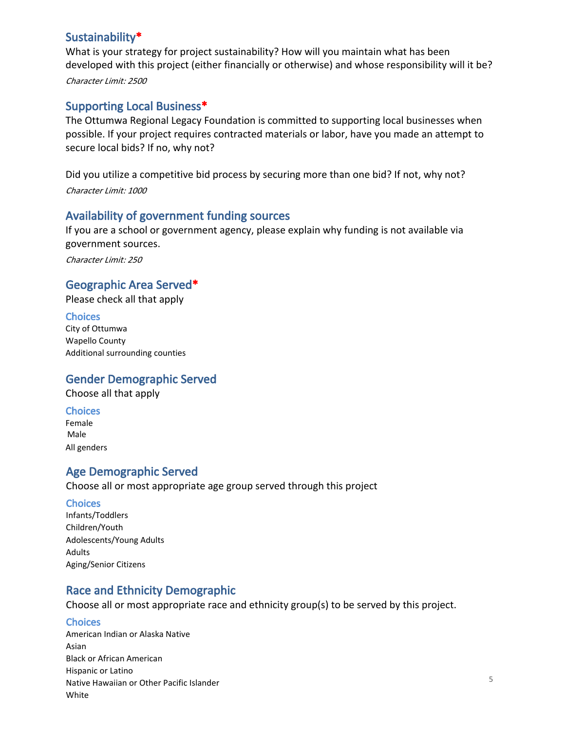### **Sustainability\***

What is your strategy for project sustainability? How will you maintain what has been developed with this project (either financially or otherwise) and whose responsibility will it be? *Character Limit: 2500*

## **Supporting Local Business\***

The Ottumwa Regional Legacy Foundation is committed to supporting local businesses when possible. If your project requires contracted materials or labor, have you made an attempt to secure local bids? If no, why not?

Did you utilize a competitive bid process by securing more than one bid? If not, why not? *Character Limit: 1000*

## **Availability of government funding sources**

If you are a school or government agency, please explain why funding is not available via government sources.

*Character Limit: 250*

## **Geographic Area Served\***

Please check all that apply

#### **Choices**

City of Ottumwa Wapello County Additional surrounding counties

## **Gender Demographic Served**

Choose all that apply

#### **Choices**

Female Male All genders

### **Age Demographic Served**

Choose all or most appropriate age group served through this project

#### **Choices**

Infants/Toddlers Children/Youth Adolescents/Young Adults Adults Aging/Senior Citizens

## **Race and Ethnicity Demographic**

Choose all or most appropriate race and ethnicity group(s) to be served by this project.

### **Choices**

American Indian or Alaska Native Asian Black or African American Hispanic or Latino Native Hawaiian or Other Pacific Islander White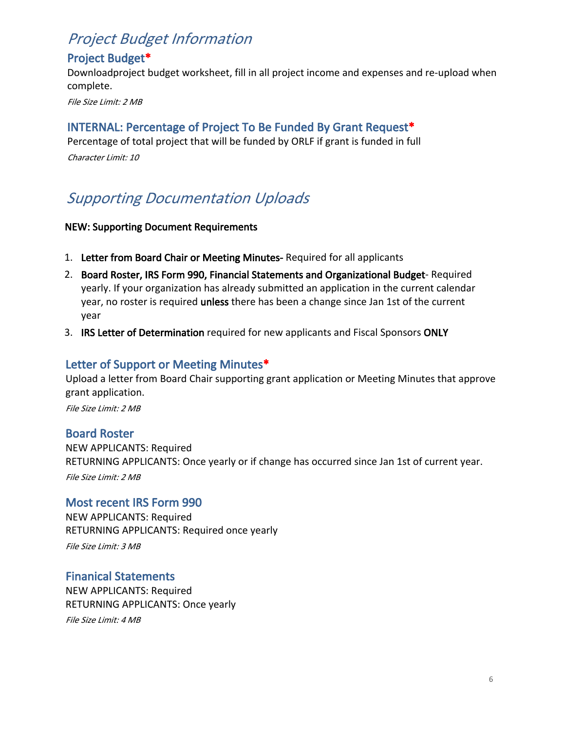## *Project Budget Information*

## **Project Budget\***

Downloadproject budget worksheet, fill in all project income and expenses and re-upload when complete.

*File Size Limit: 2 MB*

## **INTERNAL: Percentage of Project To Be Funded By Grant Request\***

Percentage of total project that will be funded by ORLF if grant is funded in full *Character Limit: 10*

## *Supporting Documentation Uploads*

#### **NEW: Supporting Document Requirements**

- 1. **Letter from Board Chair or Meeting Minutes-** Required for all applicants
- 2. **Board Roster, IRS Form 990, Financial Statements and Organizational Budget** Required yearly. If your organization has already submitted an application in the current calendar year, no roster is required **unless** there has been a change since Jan 1st of the current year
- 3. **IRS Letter of Determination** required for new applicants and Fiscal Sponsors **ONLY**

## **Letter of Support or Meeting Minutes\***

Upload a letter from Board Chair supporting grant application or Meeting Minutes that approve grant application. *File Size Limit: 2 MB*

### **Board Roster**

NEW APPLICANTS: Required RETURNING APPLICANTS: Once yearly or if change has occurred since Jan 1st of current year. *File Size Limit: 2 MB*

### **Most recent IRS Form 990**

NEW APPLICANTS: Required RETURNING APPLICANTS: Required once yearly

*File Size Limit: 3 MB*

### **Finanical Statements**

NEW APPLICANTS: Required RETURNING APPLICANTS: Once yearly *File Size Limit: 4 MB*